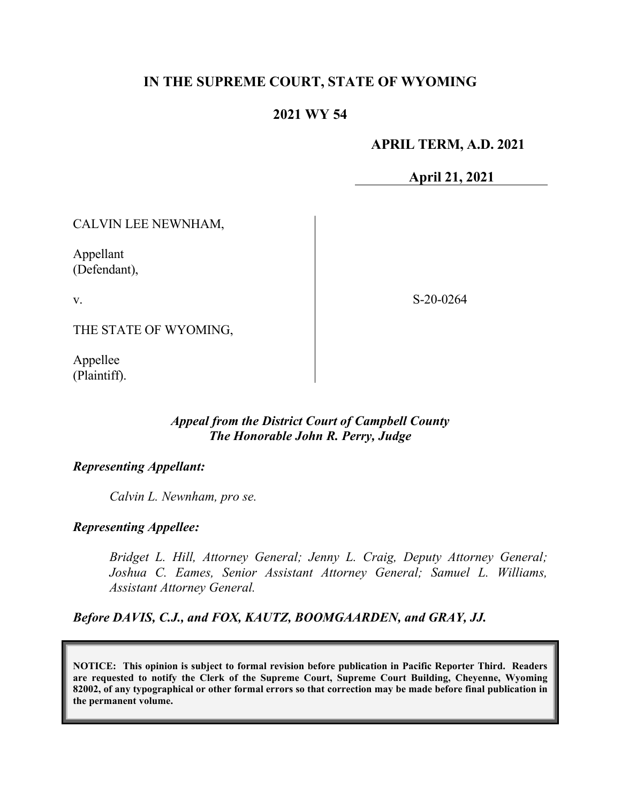# **IN THE SUPREME COURT, STATE OF WYOMING**

# **2021 WY 54**

## **APRIL TERM, A.D. 2021**

**April 21, 2021**

CALVIN LEE NEWNHAM,

Appellant (Defendant),

v.

S-20-0264

THE STATE OF WYOMING,

Appellee (Plaintiff).

### *Appeal from the District Court of Campbell County The Honorable John R. Perry, Judge*

### *Representing Appellant:*

*Calvin L. Newnham, pro se.*

### *Representing Appellee:*

*Bridget L. Hill, Attorney General; Jenny L. Craig, Deputy Attorney General; Joshua C. Eames, Senior Assistant Attorney General; Samuel L. Williams, Assistant Attorney General.*

*Before DAVIS, C.J., and FOX, KAUTZ, BOOMGAARDEN, and GRAY, JJ.*

**NOTICE: This opinion is subject to formal revision before publication in Pacific Reporter Third. Readers are requested to notify the Clerk of the Supreme Court, Supreme Court Building, Cheyenne, Wyoming 82002, of any typographical or other formal errors so that correction may be made before final publication in the permanent volume.**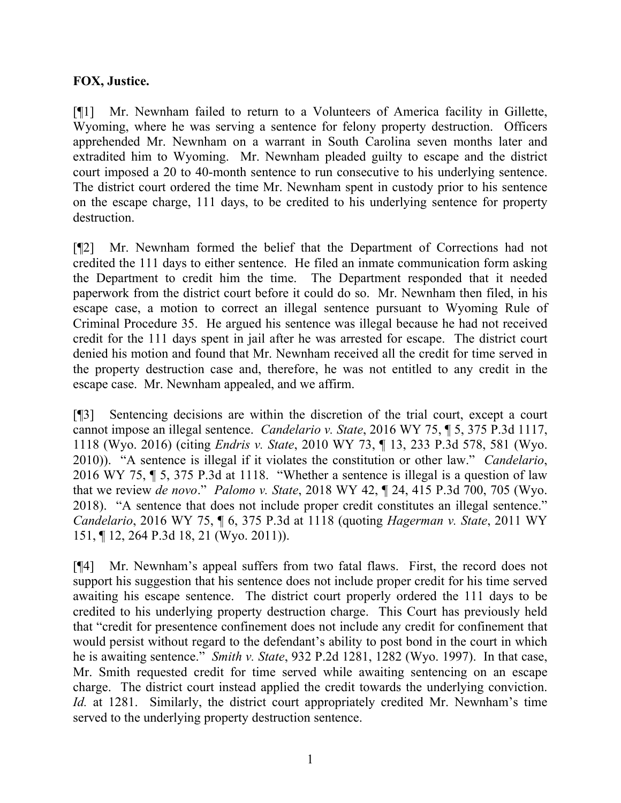## **FOX, Justice.**

[¶1] Mr. Newnham failed to return to a Volunteers of America facility in Gillette, Wyoming, where he was serving a sentence for felony property destruction. Officers apprehended Mr. Newnham on a warrant in South Carolina seven months later and extradited him to Wyoming. Mr. Newnham pleaded guilty to escape and the district court imposed a 20 to 40-month sentence to run consecutive to his underlying sentence. The district court ordered the time Mr. Newnham spent in custody prior to his sentence on the escape charge, 111 days, to be credited to his underlying sentence for property destruction.

[¶2] Mr. Newnham formed the belief that the Department of Corrections had not credited the 111 days to either sentence. He filed an inmate communication form asking the Department to credit him the time. The Department responded that it needed paperwork from the district court before it could do so. Mr. Newnham then filed, in his escape case, a motion to correct an illegal sentence pursuant to Wyoming Rule of Criminal Procedure 35. He argued his sentence was illegal because he had not received credit for the 111 days spent in jail after he was arrested for escape. The district court denied his motion and found that Mr. Newnham received all the credit for time served in the property destruction case and, therefore, he was not entitled to any credit in the escape case. Mr. Newnham appealed, and we affirm.

[¶3] Sentencing decisions are within the discretion of the trial court, except a court cannot impose an illegal sentence. *Candelario v. State*, 2016 WY 75, ¶ 5, 375 P.3d 1117, 1118 (Wyo. 2016) (citing *Endris v. State*, 2010 WY 73, ¶ 13, 233 P.3d 578, 581 (Wyo. 2010)). "A sentence is illegal if it violates the constitution or other law." *Candelario*, 2016 WY 75, ¶ 5, 375 P.3d at 1118. "Whether a sentence is illegal is a question of law that we review *de novo*." *Palomo v. State*, 2018 WY 42, ¶ 24, 415 P.3d 700, 705 (Wyo. 2018). "A sentence that does not include proper credit constitutes an illegal sentence." *Candelario*, 2016 WY 75, ¶ 6, 375 P.3d at 1118 (quoting *Hagerman v. State*, 2011 WY 151, ¶ 12, 264 P.3d 18, 21 (Wyo. 2011)).

[¶4] Mr. Newnham's appeal suffers from two fatal flaws. First, the record does not support his suggestion that his sentence does not include proper credit for his time served awaiting his escape sentence. The district court properly ordered the 111 days to be credited to his underlying property destruction charge. This Court has previously held that "credit for presentence confinement does not include any credit for confinement that would persist without regard to the defendant's ability to post bond in the court in which he is awaiting sentence." *Smith v. State*, 932 P.2d 1281, 1282 (Wyo. 1997). In that case, Mr. Smith requested credit for time served while awaiting sentencing on an escape charge. The district court instead applied the credit towards the underlying conviction. *Id.* at 1281. Similarly, the district court appropriately credited Mr. Newnham's time served to the underlying property destruction sentence.